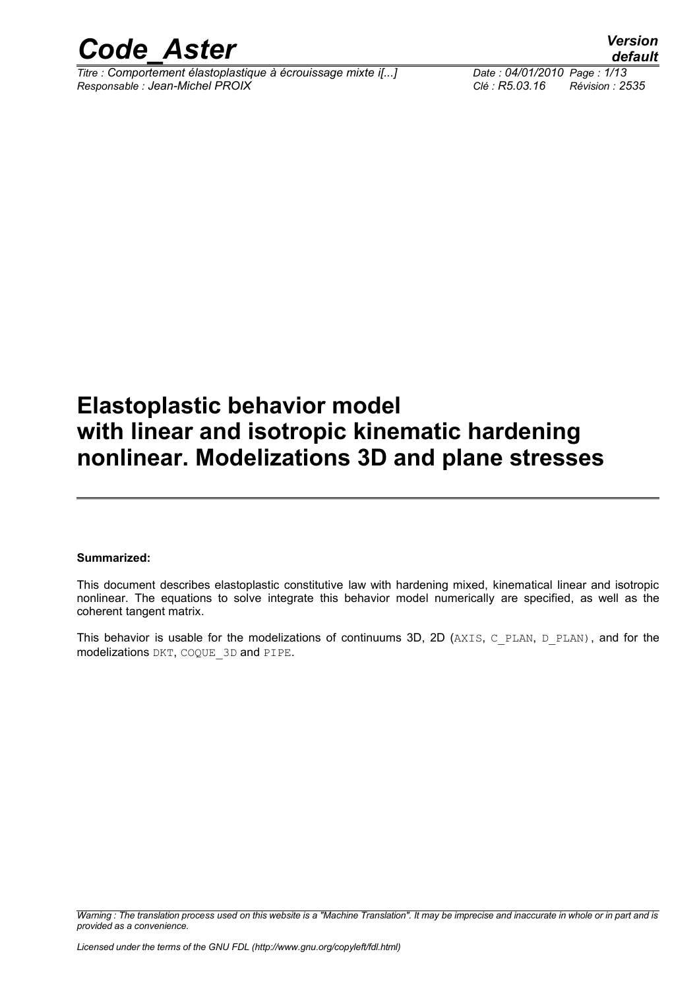

*Titre : Comportement élastoplastique à écrouissage mixte i[...] Date : 04/01/2010 Page : 1/13 Responsable : Jean-Michel PROIX Clé : R5.03.16 Révision : 2535*

### **Elastoplastic behavior model with linear and isotropic kinematic hardening nonlinear. Modelizations 3D and plane stresses**

#### **Summarized:**

This document describes elastoplastic constitutive law with hardening mixed, kinematical linear and isotropic nonlinear. The equations to solve integrate this behavior model numerically are specified, as well as the coherent tangent matrix.

This behavior is usable for the modelizations of continuums 3D, 2D (AXIS, C\_PLAN, D\_PLAN), and for the modelizations DKT, COQUE\_3D and PIPE.

*Warning : The translation process used on this website is a "Machine Translation". It may be imprecise and inaccurate in whole or in part and is provided as a convenience.*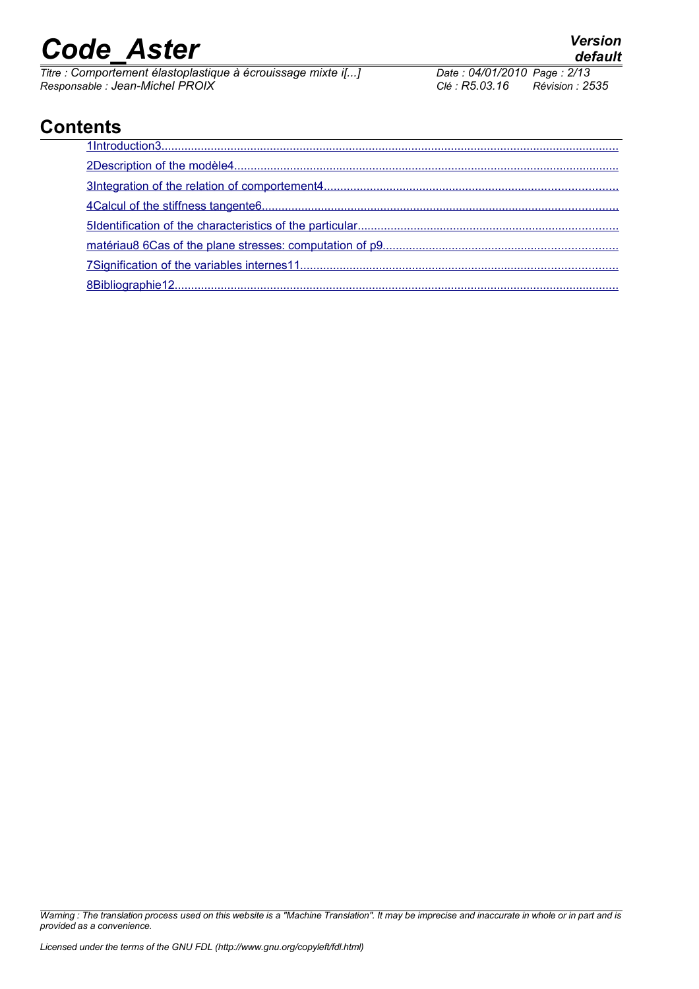*Titre : Comportement élastoplastique à écrouissage mixte i[...] Date : 04/01/2012 Page : 04/01/2010 Page : 168.03.16 Responsable : Jean-Michel PROIX Clé : R5.03.16 Révision : 2535*

### **Contents**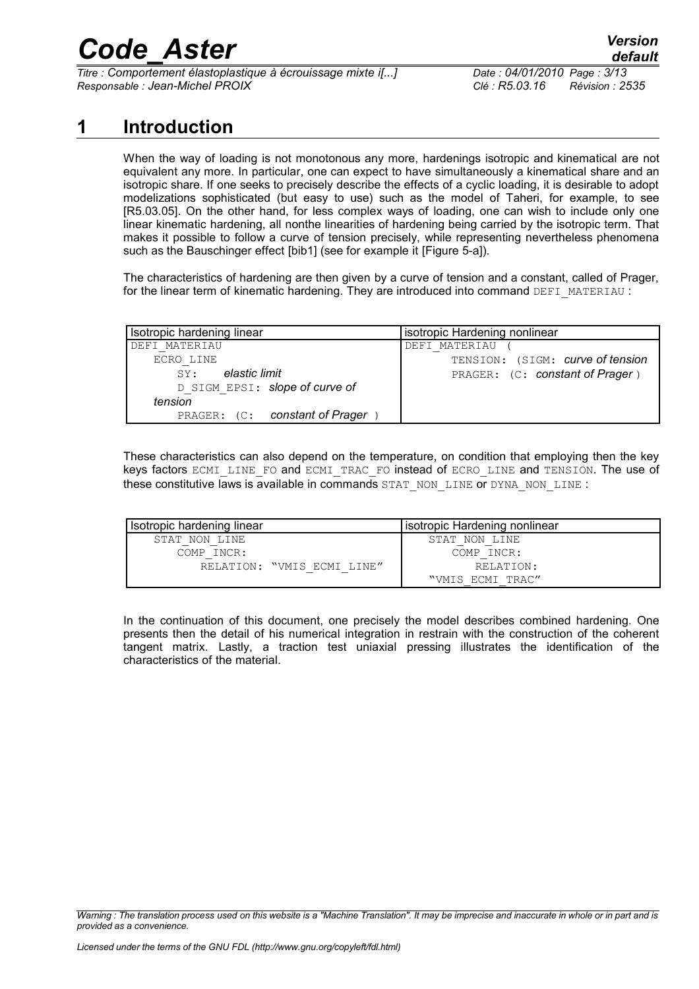*Titre : Comportement élastoplastique à écrouissage mixte i[...] Date : 04/01/2010 Page : 3/13 Responsable : Jean-Michel PROIX Clé : R5.03.16 Révision : 2535*

### **1 Introduction**

<span id="page-2-0"></span>When the way of loading is not monotonous any more, hardenings isotropic and kinematical are not equivalent any more. In particular, one can expect to have simultaneously a kinematical share and an isotropic share. If one seeks to precisely describe the effects of a cyclic loading, it is desirable to adopt modelizations sophisticated (but easy to use) such as the model of Taheri, for example, to see [R5.03.05]. On the other hand, for less complex ways of loading, one can wish to include only one linear kinematic hardening, all nonthe linearities of hardening being carried by the isotropic term. That makes it possible to follow a curve of tension precisely, while representing nevertheless phenomena such as the Bauschinger effect [bib1] (see for example it [Figure 5-a]).

The characteristics of hardening are then given by a curve of tension and a constant, called of Prager, for the linear term of kinematic hardening. They are introduced into command DEFI\_MATERIAU :

| Isotropic hardening linear     | isotropic Hardening nonlinear    |
|--------------------------------|----------------------------------|
| DEFI MATERIAU                  | DEFI MATERIAU                    |
| ECRO LINE                      | TENSION: (SIGM: curve of tension |
| elastic limit<br>SY:           | PRAGER: (C: constant of Prager)  |
| D SIGM EPSI: slope of curve of |                                  |
| tension                        |                                  |
| PRAGER: (C: constant of Prager |                                  |

These characteristics can also depend on the temperature, on condition that employing then the key keys factors ECMI\_LINE\_FO and ECMI\_TRAC\_FO instead of ECRO\_LINE and TENSION. The use of these constitutive laws is available in commands STAT\_NON\_LINE or DYNA\_NON\_LINE :

| Isotropic hardening linear | isotropic Hardening nonlinear |
|----------------------------|-------------------------------|
| STAT NON LINE              | STAT NON LINE                 |
| COMP INCR:                 | COMP INCR:                    |
| RELATION: "VMIS ECMI LINE" | RELATION:                     |
|                            | "VMIS ECMI TRAC"              |

In the continuation of this document, one precisely the model describes combined hardening. One presents then the detail of his numerical integration in restrain with the construction of the coherent tangent matrix. Lastly, a traction test uniaxial pressing illustrates the identification of the characteristics of the material.

*Warning : The translation process used on this website is a "Machine Translation". It may be imprecise and inaccurate in whole or in part and is provided as a convenience.*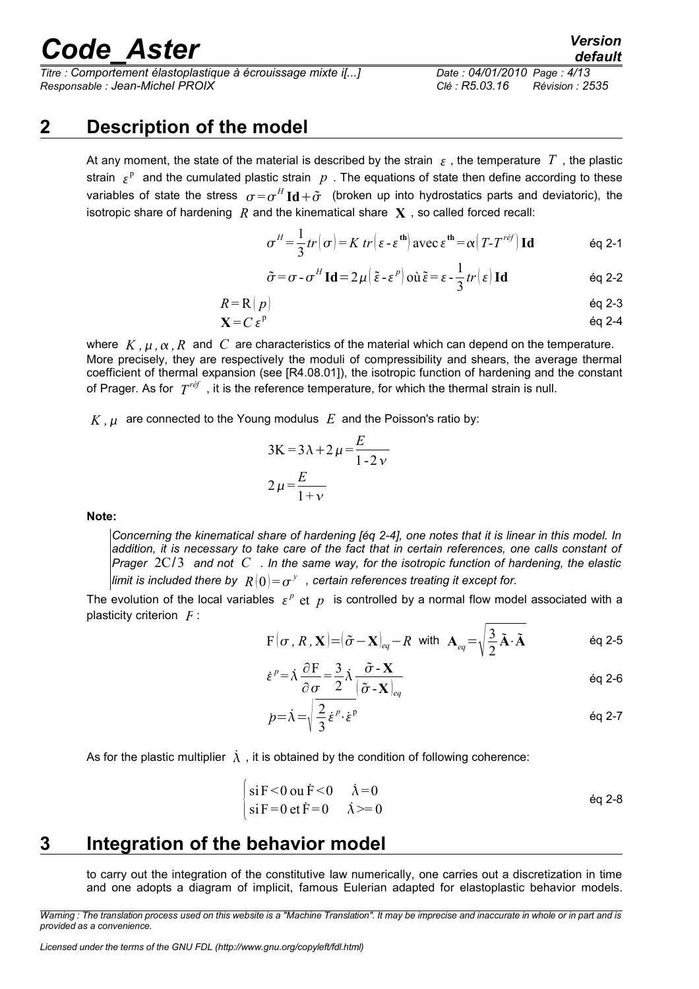*Titre : Comportement élastoplastique à écrouissage mixte i[...] Date : 04/01/2010 Page : 4/13 Responsable : Jean-Michel PROIX Clé : R5.03.16 Révision : 2535*

### **2 Description of the model**

<span id="page-3-1"></span>At any moment, the state of the material is described by the strain  $\epsilon$ , the temperature T, the plastic strain  $\epsilon^{\rm p}$  and the cumulated plastic strain  $|p|$ . The equations of state then define according to these variables of state the stress  $\sigma = \sigma^H \mathbf{Id} + \tilde{\sigma}$  (broken up into hydrostatics parts and deviatoric), the isotropic share of hardening  $R$  and the kinematical share  $\bf{X}$ , so called forced recall:

$$
\sigma^H = \frac{1}{3}tr(\sigma) = K \ tr \Big( \varepsilon - \varepsilon^{\text{th}} \Big) \ \text{avec } \ \varepsilon^{\text{th}} = \alpha \Big( T - T^{ref} \Big) \ \text{Id} \tag{6q 2-1}
$$

$$
\tilde{\sigma} = \sigma - \sigma^H \operatorname{Id} = 2\mu \left( \tilde{\varepsilon} - \varepsilon^p \right) \operatorname{od} \tilde{\varepsilon} = \varepsilon - \frac{1}{3} tr \left( \varepsilon \right) \operatorname{Id} \tag{6q 2-2}
$$

$$
R = R \left( p \right) \tag{6d} 2-3
$$

$$
X = C \varepsilon^{p} \qquad \qquad \text{Eq 2-4}
$$

where  $K, \mu, \alpha, R$  and C are characteristics of the material which can depend on the temperature. More precisely, they are respectively the moduli of compressibility and shears, the average thermal coefficient of thermal expansion (see [R4.08.01]), the isotropic function of hardening and the constant of Prager. As for *T réf* , it is the reference temperature, for which the thermal strain is null.

 $K, \mu$  are connected to the Young modulus  $E$  and the Poisson's ratio by:

$$
3K = 3\lambda + 2\mu = \frac{E}{1 - 2\nu}
$$

$$
2\mu = \frac{E}{1 + \nu}
$$

#### **Note:**

*Concerning the kinematical share of hardening [éq 2-4], one notes that it is linear in this model. In addition, it is necessary to take care of the fact that in certain references, one calls constant of Prager* 2C/3 *and not C . In the same way, for the isotropic function of hardening, the elastic* limit is included there by  $\ R\left( 0 \right) {= {\sigma ^\rm{y}}}$  , certain references treating it except for.

The evolution of the local variables  $\epsilon^p$  et  $p$  is controlled by a normal flow model associated with a plasticity criterion *F* :

$$
F(\sigma, R, \mathbf{X}) = (\tilde{\sigma} - \mathbf{X})_{eq} - R
$$
 with  $\mathbf{A}_{eq} = \sqrt{\frac{3}{2}} \tilde{\mathbf{A}} \cdot \tilde{\mathbf{A}}$  eq 2-5

$$
\dot{\varepsilon}^p = \dot{\lambda} \frac{\partial F}{\partial \sigma} = \frac{3}{2} \dot{\lambda} \frac{\tilde{\sigma} - \mathbf{X}}{(\tilde{\sigma} - \mathbf{X})_{eq}} \tag{6q 2-6}
$$

$$
p = \lambda = \sqrt{\frac{2}{3} \dot{\varepsilon}^p \cdot \dot{\varepsilon}^p}
$$

As for the plastic multiplier  $\dot{\lambda}$ , it is obtained by the condition of following coherence:

$$
\begin{cases}\n\sin F < 0 \text{ or } \dot{F} < 0 \\
\sin F = 0 \text{ et } \dot{F} = 0\n\end{cases}\n\begin{cases}\n\dot{\lambda} = 0 \\
\dot{\lambda} >= 0\n\end{cases}\n\begin{cases}\n\dot{\lambda} = 0\n\end{cases}\n\begin{cases}\n\dot{\lambda} = 0\n\end{cases}\n\begin{cases}\n\dot{\lambda} = 0\n\end{cases}
$$

### **3 Integration of the behavior model**

<span id="page-3-0"></span>to carry out the integration of the constitutive law numerically, one carries out a discretization in time and one adopts a diagram of implicit, famous Eulerian adapted for elastoplastic behavior models.

*Warning : The translation process used on this website is a "Machine Translation". It may be imprecise and inaccurate in whole or in part and is provided as a convenience.*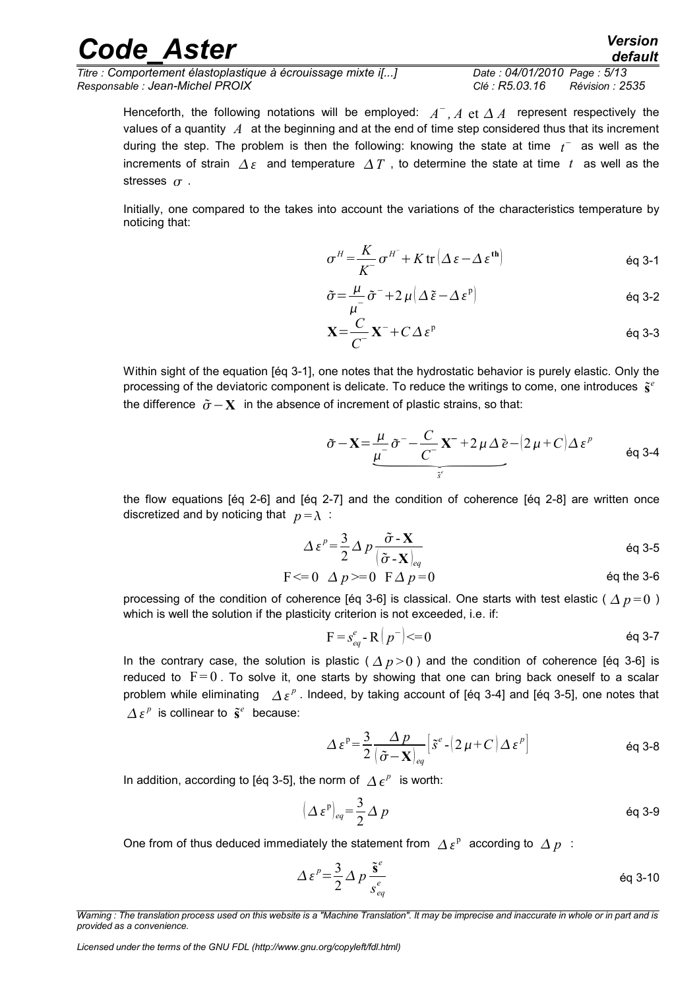| <b>Code Aster</b>                                            | <b>Version</b><br>default         |  |
|--------------------------------------------------------------|-----------------------------------|--|
| Titre : Comportement élastoplastique à écrouissage mixte i[] | Date: 04/01/2010 Page: 5/13       |  |
| Responsable : Jean-Michel PROIX                              | Clé : R5.03.16<br>Révision : 2535 |  |

Henceforth, the following notations will be employed:  $A^+, A$  et  $\Delta A^-$  represent respectively the values of a quantity *A* at the beginning and at the end of time step considered thus that its increment during the step. The problem is then the following: knowing the state at time  $t^-$  as well as the increments of strain  $\Delta \varepsilon$  and temperature  $\Delta T$ , to determine the state at time t as well as the stresses  $\sigma$ .

Initially, one compared to the takes into account the variations of the characteristics temperature by noticing that:

$$
\sigma^H = \frac{K}{K} \sigma^{H^-} + K \operatorname{tr} \left( \Delta \, \varepsilon - \Delta \, \varepsilon^{\text{th}} \right) \tag{6q 3-1}
$$

$$
\tilde{\sigma} = \frac{\mu}{\mu^-} \tilde{\sigma}^- + 2 \mu \left( \Delta \tilde{\epsilon} - \Delta \epsilon^p \right)
$$

$$
\mathbf{X} = \frac{C}{C} \mathbf{X}^- + C \Delta \varepsilon^p \tag{6q 3-3}
$$

Within sight of the equation [éq 3-1], one notes that the hydrostatic behavior is purely elastic. Only the processing of the deviatoric component is delicate. To reduce the writings to come, one introduces  $\tilde{s}^e$  the d processing of the deviatoric component is delicate. To reduce the writings to come, one introduces  $\tilde{s}^e$ the difference  $\tilde{\sigma}$  –  $\mathbf{X}$  in the absence of increment of plastic strains, so that:

$$
\tilde{\sigma} - \mathbf{X} = \underbrace{\frac{\mu}{\mu^-}}_{\tilde{s}'} \tilde{\sigma}^- - \underbrace{\frac{C}{C^-}}_{\tilde{s}'} \mathbf{X}^- + 2 \mu \Delta \tilde{e} - (2 \mu + C) \Delta \varepsilon^p
$$
 eq 3-4

the flow equations [éq 2-6] and [éq 2-7] and the condition of coherence [éq 2-8] are written once discretized and by noticing that  $p = \lambda$ :

$$
\Delta \varepsilon^{p} = \frac{3}{2} \Delta p \frac{\tilde{\sigma} \cdot \mathbf{X}}{(\tilde{\sigma} \cdot \mathbf{X})_{eq}} \tag{6q 3-5}
$$

$$
F \leq 0 \quad \Delta p \geq 0 \quad F \Delta p = 0 \tag{60} \quad \text{Eq the 3-6}
$$

processing of the condition of coherence [éq 3-6] is classical. One starts with test elastic ( $\Delta p = 0$ ) which is well the solution if the plasticity criterion is not exceeded, i.e. if:

$$
F = s_{eq}^{e} - R(p^{-}) \leq 0
$$

In the contrary case, the solution is plastic ( $\Delta p > 0$ ) and the condition of coherence [éq 3-6] is reduced to  $F=0$ . To solve it, one starts by showing that one can bring back oneself to a scalar problem while eliminating  $\|\Delta\varepsilon^p\|$ . Indeed, by taking account of [éq 3-4] and [éq 3-5], one notes that  $\Delta \boldsymbol{\varepsilon}^p$  is collinear to  $\tilde{\boldsymbol{s}}^e$  because:

$$
\Delta \varepsilon^{p} = \frac{3}{2} \frac{\Delta p}{(\tilde{\sigma} - \mathbf{X})_{eq}} \left[ \tilde{s}^{e} - (2\,\mu + C) \Delta \varepsilon^{p} \right]
$$
 eq 3-8

In addition, according to [éq 3-5], the norm of  $\overline{\Delta}\, \epsilon^p\;$  is worth:

$$
(\Delta \varepsilon^{\mathrm{p}})_{eq} = \frac{3}{2} \Delta p \tag{6q 3-9}
$$

One from of thus deduced immediately the statement from  $\|A\|_{\mathcal{E}}^p\|$  according to  $\|A\|_p\|$  :

$$
\Delta \varepsilon^p = \frac{3}{2} \Delta p \frac{\tilde{\mathbf{s}}^e}{s_{eq}^e} \qquad \qquad \text{Eq 3-10}
$$

*Warning : The translation process used on this website is a "Machine Translation". It may be imprecise and inaccurate in whole or in part and is provided as a convenience.*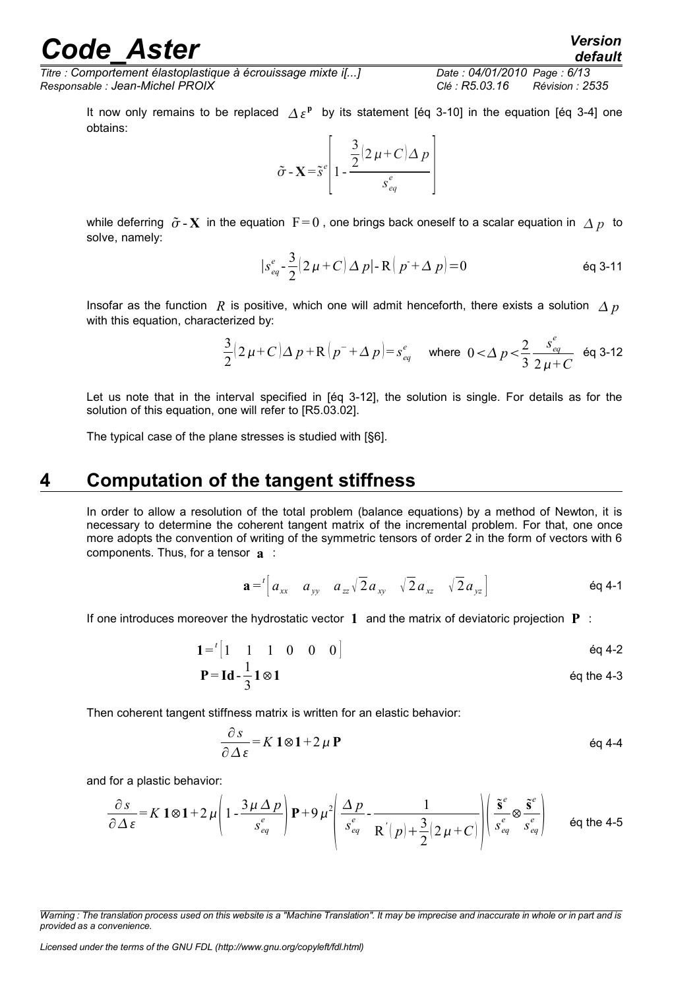*Titre : Comportement élastoplastique à écrouissage mixte i[...] Date : 04/01/2010 Page : 6/13*

*Responsable : Jean-Michel PROIX Clé : R5.03.16 Révision : 2535*

It now only remains to be replaced  $\Delta \varepsilon^{\rm p}$  by its statement [éq 3-10] in the equation [éq 3-4] one obtains:

$$
\tilde{\sigma} - \mathbf{X} = \tilde{s}^e \left[ 1 - \frac{\frac{3}{2} (2 \mu + C) \Delta p}{s_{eq}^e} \right]
$$

while deferring  $\tilde{\sigma}$ -X in the equation  $F=0$ , one brings back oneself to a scalar equation in  $\Delta p$  to solve, namely:

$$
|s_{eq}^{e} - \frac{3}{2}(2\mu + C) \Delta p| - R(p + \Delta p)| = 0
$$
 eq 3-11

Insofar as the function *R* is positive, which one will admit henceforth, there exists a solution  $\Delta p$ with this equation, characterized by:

$$
\frac{3}{2}(2\,\mu+C)\Delta\,p+R\left(p^{-}+\Delta\,p\right)=s_{eq}^{e} \quad \text{where} \ \ 0<\Delta\,p<\frac{2}{3}\frac{s_{eq}^{e}}{2\,\mu+C} \ \text{ for all } 3\text{-}12
$$

Let us note that in the interval specified in [éq 3-12], the solution is single. For details as for the solution of this equation, one will refer to [R5.03.02].

The typical case of the plane stresses is studied with [§6].

### **4 Computation of the tangent stiffness**

<span id="page-5-0"></span>In order to allow a resolution of the total problem (balance equations) by a method of Newton, it is necessary to determine the coherent tangent matrix of the incremental problem. For that, one once more adopts the convention of writing of the symmetric tensors of order 2 in the form of vectors with 6 components. Thus, for a tensor **a** :

$$
\mathbf{a} = \begin{bmatrix} a_{xx} & a_{yy} & a_{zz} \sqrt{2} a_{xy} & \sqrt{2} a_{xz} & \sqrt{2} a_{yz} \end{bmatrix}
$$

If one introduces moreover the hydrostatic vector **1** and the matrix of deviatoric projection **P** :

$$
1 = \begin{bmatrix} 1 & 1 & 1 & 0 & 0 & 0 \end{bmatrix}
$$
  
\n
$$
P = Id - \frac{1}{3} 1 \otimes 1
$$
  
\n
$$
eq 4-2
$$
  
\n
$$
eq 4-2
$$
  
\n
$$
eq 4-2
$$
  
\n
$$
eq 4-3
$$

Then coherent tangent stiffness matrix is written for an elastic behavior:

$$
\frac{\partial s}{\partial \Delta \varepsilon} = K \mathbf{1} \otimes \mathbf{1} + 2 \mu \mathbf{P}
$$

and for a plastic behavior:

$$
\frac{\partial s}{\partial \Delta \varepsilon} = K \, 1 \otimes 1 + 2 \, \mu \left( 1 - \frac{3 \mu \, \Delta \, p}{s_{eq}^e} \right) \mathbf{P} + 9 \, \mu^2 \left( \frac{\Delta \, p}{s_{eq}^e} - \frac{1}{R' \, (p) + \frac{3}{2} (2 \, \mu + C)} \right) \left( \frac{\tilde{\mathbf{s}}^e}{s_{eq}^e} \otimes \frac{\tilde{\mathbf{s}}^e}{s_{eq}^e} \right) \qquad \text{éq the 4-5}
$$

*Warning : The translation process used on this website is a "Machine Translation". It may be imprecise and inaccurate in whole or in part and is provided as a convenience.*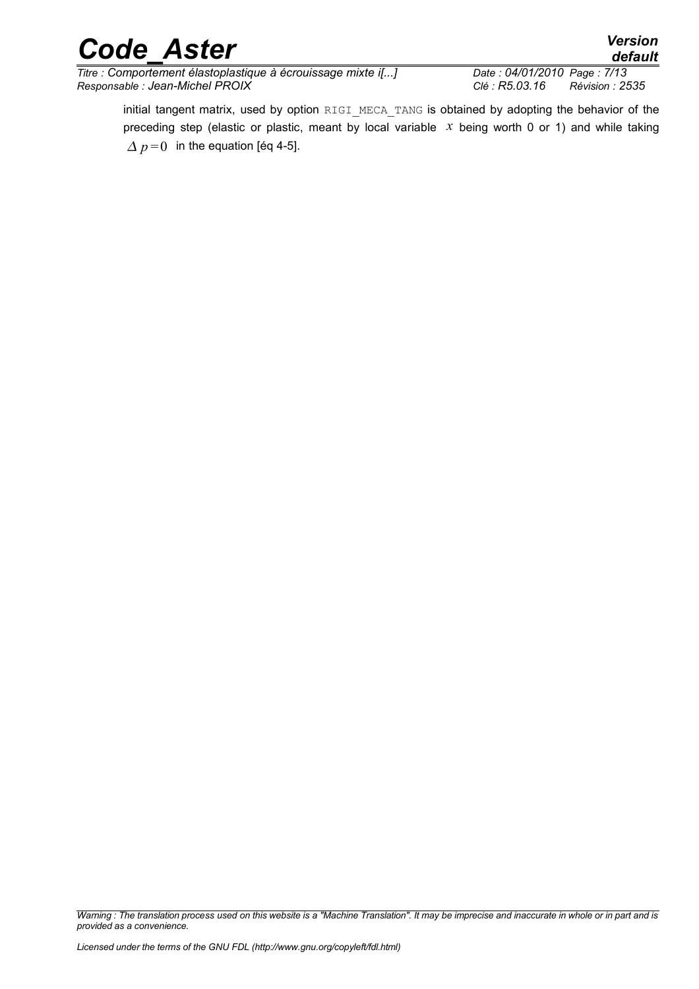*Titre : Comportement élastoplastique à écrouissage mixte i[...] Date : 04/01/2010 Page : 7/13 Responsable : Jean-Michel PROIX Clé : R5.03.16 Révision : 2535*

*default*

initial tangent matrix, used by option RIGI MECA TANG is obtained by adopting the behavior of the preceding step (elastic or plastic, meant by local variable *x* being worth 0 or 1) and while taking  $\Delta p = 0$  in the equation [éq 4-5].

*Warning : The translation process used on this website is a "Machine Translation". It may be imprecise and inaccurate in whole or in part and is provided as a convenience.*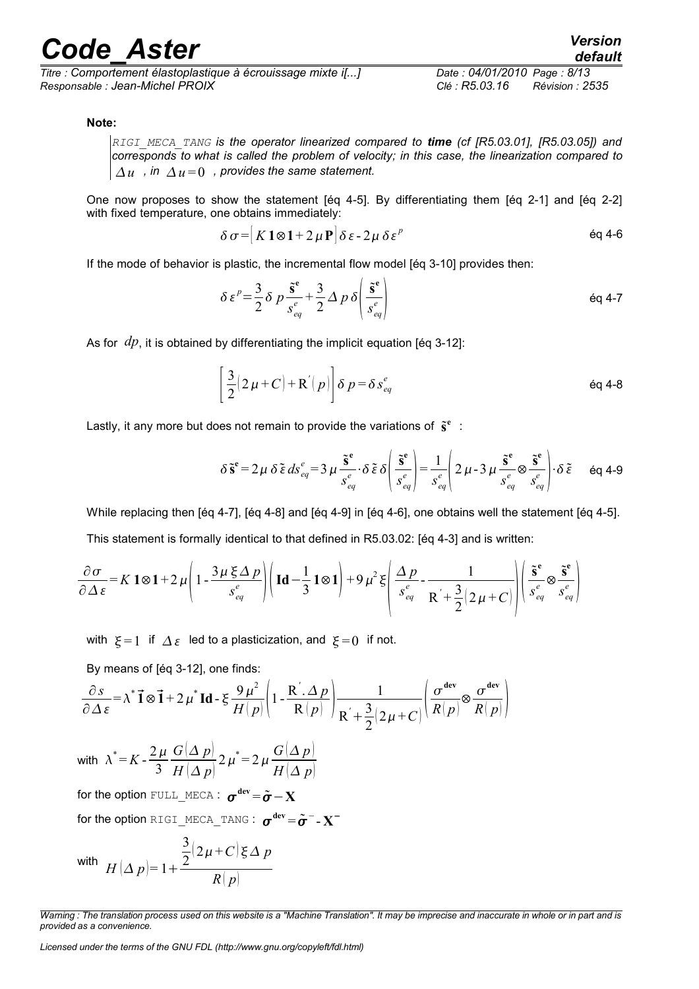*Titre : Comportement élastoplastique à écrouissage mixte i[...] Date : 04/01/2010 Page : 8/13 Responsable : Jean-Michel PROIX Clé : R5.03.16 Révision : 2535*

## *default*

#### **Note:**

*RIGI\_MECA\_TANG is the operator linearized compared to time (cf [R5.03.01], [R5.03.05]) and corresponds to what is called the problem of velocity; in this case, the linearization compared to*  $\Delta u$ , in  $\Delta u = 0$ , provides the same statement.

One now proposes to show the statement [éq 4-5]. By differentiating them [éq 2-1] and [éq 2-2] with fixed temperature, one obtains immediately:

$$
\delta \sigma = |K1 \otimes 1 + 2 \mu \mathbf{P}| \delta \varepsilon - 2 \mu \delta \varepsilon^p
$$

If the mode of behavior is plastic, the incremental flow model [éq 3-10] provides then:

$$
\delta \varepsilon^p = \frac{3}{2} \delta \, p \, \frac{\tilde{\mathbf{s}}^{\mathbf{e}}}{s_{eq}^e} + \frac{3}{2} \Delta \, p \, \delta \left( \frac{\tilde{\mathbf{s}}^{\mathbf{e}}}{s_{eq}^e} \right) \tag{6q 4-7}
$$

As for *dp*, it is obtained by differentiating the implicit equation [eq 3-12]:

$$
\left[\frac{3}{2}(2\mu+C)+R^{'}(p)\right]\delta p=\delta s_{eq}^e
$$

Lastly, it any more but does not remain to provide the variations of  $\tilde{s}^e$ :

$$
\delta \tilde{\mathbf{s}}^{\mathbf{e}} = 2\mu \delta \tilde{\boldsymbol{\varepsilon}} \, ds_{eq}^{e} = 3\mu \frac{\tilde{\mathbf{s}}^{\mathbf{e}}}{s_{eq}^{e}} \cdot \delta \tilde{\boldsymbol{\varepsilon}} \, \delta \left( \frac{\tilde{\mathbf{s}}^{\mathbf{e}}}{s_{eq}^{e}} \right) = \frac{1}{s_{eq}^{e}} \left( 2\mu - 3\mu \frac{\tilde{\mathbf{s}}^{\mathbf{e}}}{s_{eq}^{e}} \otimes \frac{\tilde{\mathbf{s}}^{\mathbf{e}}}{s_{eq}^{e}} \right) \cdot \delta \tilde{\boldsymbol{\varepsilon}} \qquad \text{Eq 4-9}
$$

While replacing then [éq 4-7], [éq 4-8] and [éq 4-9] in [éq 4-6], one obtains well the statement [éq 4-5].

This statement is formally identical to that defined in R5.03.02: [éq 4-3] and is written:

$$
\frac{\partial \sigma}{\partial \Delta \varepsilon} = K \, 1 \otimes 1 + 2 \, \mu \left( 1 - \frac{3 \, \mu \, \xi \, \Delta \, p}{s_{eq}^e} \right) \left( \, \mathrm{Id} - \frac{1}{3} \, 1 \otimes 1 \right) + 9 \, \mu^2 \, \xi \left( \frac{\Delta \, p}{s_{eq}^e} - \frac{1}{R^2 + \frac{3}{2} (2 \, \mu + C)} \right) \left( \frac{\tilde{s}^e}{s_{eq}^e} \otimes \frac{\tilde{s}^e}{s_{eq}^e} \right)
$$

with  $\xi = 1$  if  $\Delta \varepsilon$  led to a plasticization, and  $\xi = 0$  if not.

By means of [eq 3-12], one finds:  
\n
$$
\frac{\partial s}{\partial \Delta \varepsilon} = \lambda^* \vec{\mathbf{1}} \otimes \vec{\mathbf{1}} + 2 \mu^* \mathbf{Id} - \xi \frac{9 \mu^2}{H(p)} \left( 1 - \frac{R'.\Delta p}{R(p)} \right) \frac{1}{R' + \frac{3}{2} (2 \mu + C)} \left( \frac{\sigma^{\text{dev}}}{R(p)} \otimes \frac{\sigma^{\text{dev}}}{R(p)} \right)
$$

with  $\lambda^* = K - \frac{2\mu}{2}$ 3  $G(\Delta p)$  $H(\Delta p)$  $2 \mu^* = 2 \mu \frac{G(\Delta p)}{g(\Delta p)}$  $H(\Delta p)$ for the option  $\textsc{full\_MECA}:\; \bm{\sigma}^{\text{dev}}\!=\!\bm{\tilde{\sigma}}\!-\!\mathbf{X}$ 

for the option <code>RIGI\_MECA\_TANG</code> :  $\boldsymbol{\sigma}^\text{dev}\!=\!\boldsymbol{\tilde{\sigma}}^-\text{-}\mathbf{X}^-$ 

$$
\text{with }\; H\left(\Delta\ p\right) = 1 + \frac{\displaystyle\frac{3}{2}(2\,\mu + C)\,\xi\,\Delta\ p}{\displaystyle R\left(\ p\right)}
$$

*Warning : The translation process used on this website is a "Machine Translation". It may be imprecise and inaccurate in whole or in part and is provided as a convenience.*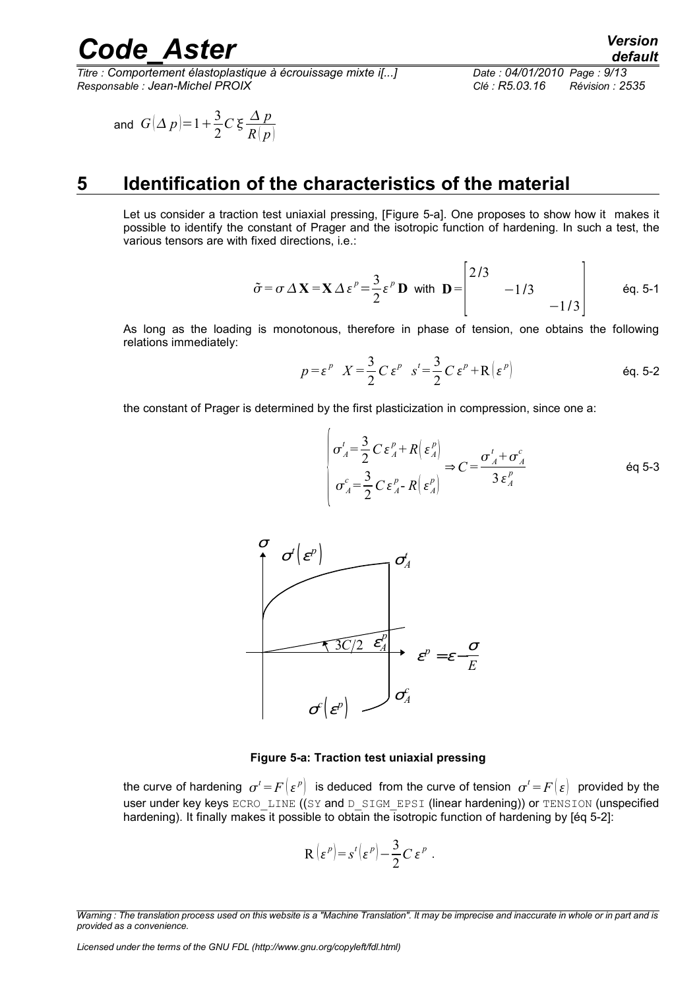*Titre : Comportement élastoplastique à écrouissage mixte i[...] Date : 04/01/2010 Page : 9/13 Responsable : Jean-Michel PROIX Clé : R5.03.16 Révision : 2535*

$$
\text{ and } G(\Delta p) = 1 + \frac{3}{2}C \xi \frac{\Delta p}{R(p)}
$$

### **5 Identification of the characteristics of the material**

<span id="page-8-0"></span>Let us consider a traction test uniaxial pressing, [Figure 5-a]. One proposes to show how it makes it possible to identify the constant of Prager and the isotropic function of hardening. In such a test, the various tensors are with fixed directions, i.e.:

$$
\tilde{\sigma} = \sigma \Delta \mathbf{X} = \mathbf{X} \Delta \varepsilon^{p} = \frac{3}{2} \varepsilon^{p} \mathbf{D} \text{ with } \mathbf{D} = \begin{vmatrix} 2/3 & & \\ & -1/3 & \\ & & -1/3 \end{vmatrix} \qquad \text{Eq. 5-1}
$$

As long as the loading is monotonous, therefore in phase of tension, one obtains the following relations immediately:

$$
p = \varepsilon^p \quad X = \frac{3}{2} C \, \varepsilon^p \quad s^t = \frac{3}{2} C \, \varepsilon^p + \mathcal{R} \left( \varepsilon^p \right) \tag{6q. 5-2}
$$

the constant of Prager is determined by the first plasticization in compression, since one a:

 $\overline{ }$ 

$$
\begin{vmatrix} \sigma_A^t = \frac{3}{2} C \varepsilon_A^p + R \left( \varepsilon_A^p \right) \\ \sigma_A^c = \frac{3}{2} C \varepsilon_A^p - R \left( \varepsilon_A^p \right) \end{vmatrix} \Rightarrow C = \frac{\sigma_A^t + \sigma_A^c}{3 \varepsilon_A^p} \qquad \text{Eq 5-3}
$$



#### **Figure 5-a: Traction test uniaxial pressing**

the curve of hardening  $\sigma^t$  =  $F\big(\varepsilon^p\big)$  is deduced from the curve of tension  $\sigma^t$  =  $F\big(\varepsilon\big)$  provided by the user under key keys ECRO LINE ((SY and D\_SIGM\_EPSI (linear hardening)) or TENSION (unspecified hardening). It finally makes it possible to obtain the isotropic function of hardening by [éq 5-2]:

$$
\mathbf{R} \left( \varepsilon^p \right) = s^t \left( \varepsilon^p \right) - \frac{3}{2} C \, \varepsilon^p \ .
$$

*Warning : The translation process used on this website is a "Machine Translation". It may be imprecise and inaccurate in whole or in part and is provided as a convenience.*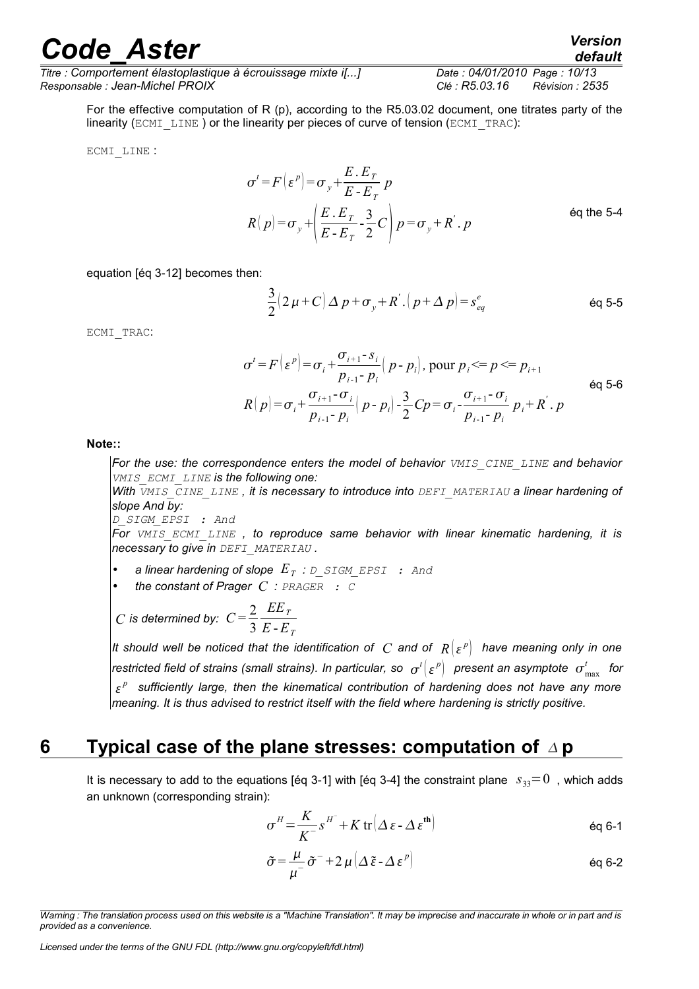*Titre : Comportement élastoplastique à écrouissage mixte i[...] Date : 04/01/2010 Page : 10/13 Responsable : Jean-Michel PROIX Clé : R5.03.16 Révision : 2535*

For the effective computation of R (p), according to the R5.03.02 document, one titrates party of the linearity (ECMI\_LINE) or the linearity per pieces of curve of tension (ECMI\_TRAC):

ECMI\_LINE :

$$
\sigma^{t} = F\left(\varepsilon^{p}\right) = \sigma_{y} + \frac{E.E_{T}}{E-E_{T}} p
$$
\n
$$
R\left(p\right) = \sigma_{y} + \left(\frac{E.E_{T}}{E-E_{T}} - \frac{3}{2}C\right) p = \sigma_{y} + R^{'} \cdot p
$$
\n
$$
\text{Eq the 5-4}
$$

equation [éq 3-12] becomes then:

$$
\frac{3}{2}(2 \mu + C) \Delta p + \sigma_y + R'.(p + \Delta p) = s_{eq}^e
$$

ECMI\_TRAC:

$$
\sigma^{t} = F\left(\varepsilon^{p}\right) = \sigma_{i} + \frac{\sigma_{i+1} - s_{i}}{p_{i-1} - p_{i}}\left(p - p_{i}\right), \text{ pour } p_{i} \leq p \leq p_{i+1}
$$
\n
$$
R\left(p\right) = \sigma_{i} + \frac{\sigma_{i+1} - \sigma_{i}}{p_{i-1} - p_{i}}\left(p - p_{i}\right) - \frac{3}{2}Cp = \sigma_{i} - \frac{\sigma_{i+1} - \sigma_{i}}{p_{i-1} - p_{i}}p_{i} + R^{'}.
$$
\n
$$
p \qquad \text{éq 5-6}
$$

**Note::**

*For the use: the correspondence enters the model of behavior VMIS\_CINE\_LINE and behavior VMIS\_ECMI\_LINE is the following one:*

*With VMIS\_CINE\_LINE , it is necessary to introduce into DEFI\_MATERIAU a linear hardening of slope And by: D\_SIGM\_EPSI : And*

*For VMIS\_ECMI\_LINE , to reproduce same behavior with linear kinematic hardening, it is necessary to give in DEFI\_MATERIAU .*

- *a linear hardening of slope E<sup>T</sup> : D\_SIGM\_EPSI : And*
- *the constant of Prager C : PRAGER : C*

*C* is determined by: 
$$
C = \frac{2}{3} \frac{EE_T}{E - E_T}
$$

It should well be noticed that the identification of  $|C|$  and of  $|R| \{ \varepsilon^{p} \}$  have meaning only in one  $r$ estricted field of strains (small strains). In particular, so  $\sigma^t(\varepsilon^{\,p})$  present an asymptote  $\,\sigma^t_{\max}\,$  for *p sufficiently large, then the kinematical contribution of hardening does not have any more meaning. It is thus advised to restrict itself with the field where hardening is strictly positive.*

### **6 Typical case of the plane stresses: computation of p**

<span id="page-9-0"></span>It is necessary to add to the equations [éq 3-1] with [éq 3-4] the constraint plane  $s_{33}=0$ , which adds an unknown (corresponding strain):

$$
\sigma^H = \frac{K}{K} s^{H^-} + K \operatorname{tr} \left( \Delta \, \varepsilon - \Delta \, \varepsilon^{\text{th}} \right) \tag{60-1}
$$

$$
\tilde{\sigma} = \frac{\mu}{\mu^{-}} \tilde{\sigma}^{-} + 2 \mu \left( \Delta \tilde{\epsilon} - \Delta \epsilon^{p} \right)
$$

*Warning : The translation process used on this website is a "Machine Translation". It may be imprecise and inaccurate in whole or in part and is provided as a convenience.*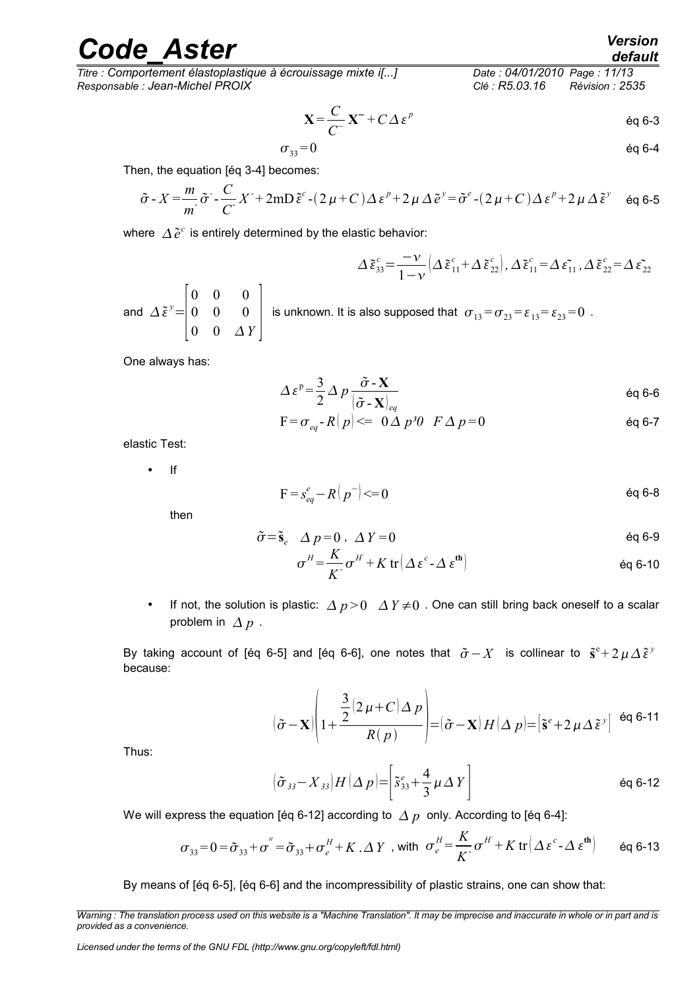*Titre : Comportement élastoplastique à écrouissage mixte i[...] Date : 04/01/2010 Page : 11/13 Responsable : Jean-Michel PROIX Clé : R5.03.16 Révision : 2535*

$$
\mathbf{X} = \frac{C}{C} \mathbf{X}^+ + C \Delta \varepsilon^p \qquad \text{Eq 6-3}
$$

$$
\sigma_{33} = 0 \qquad \qquad \text{eq 6-4}
$$

Then, the equation [éq 3-4] becomes:

$$
\tilde{\sigma} - X = \frac{m}{m} \tilde{\sigma} - \frac{C}{C} X^2 + 2m \tilde{D} \tilde{\epsilon}^c - (2\mu + C) \Delta \epsilon^p + 2\mu \Delta \tilde{\epsilon}^y = \tilde{\sigma}^e - (2\mu + C) \Delta \epsilon^p + 2\mu \Delta \tilde{\epsilon}^y
$$
 eq 6-5

where  $\Delta \tilde{e}^c$  is entirely determined by the elastic behavior:

$$
\Delta \tilde{\varepsilon}_{33}^c = \frac{-\nu}{1-\nu} \left( \Delta \tilde{\varepsilon}_{11}^c + \Delta \tilde{\varepsilon}_{22}^c \right), \Delta \tilde{\varepsilon}_{11}^c = \Delta \tilde{\varepsilon}_{11}^c, \Delta \tilde{\varepsilon}_{22}^c = \Delta \tilde{\varepsilon}_{22}^c
$$

and  $\Delta \tilde{\epsilon}^y =$  $\overline{\phantom{a}}$ 0 0 0 0 0 0  $0 \quad 0 \quad \Delta Y$ is unknown. It is also supposed that  $\sigma_{13} = \sigma_{23} = \varepsilon_{13} = \varepsilon_{23} = 0$ .

One always has:

$$
\Delta \varepsilon^{\mathbf{p}} = \frac{3}{2} \Delta p \frac{\tilde{\sigma} \cdot \mathbf{X}}{(\tilde{\sigma} \cdot \mathbf{X})_{eq}} \qquad \qquad \text{eq 6-6}
$$

$$
F = \sigma_{eq} - R(p) \Longleftrightarrow 0 \Delta p^3 0 \quad F \Delta p = 0 \tag{66-7}
$$

elastic Test:

• If

$$
F = s_{eq}^e - R\left(p^{-}\right) \leq 0 \tag{60.8}
$$

then

$$
\tilde{\sigma} = \tilde{\mathbf{s}}_e \quad \Delta p = 0 \quad \Delta Y = 0 \tag{69}
$$

$$
\sigma^H = \frac{K}{K} \sigma^H + K \operatorname{tr} \left( \Delta \, \varepsilon^c - \Delta \, \varepsilon^{\text{th}} \right) \tag{6q\ 6-10}
$$

• If not, the solution is plastic:  $\Delta p > 0$   $\Delta Y \neq 0$ . One can still bring back oneself to a scalar problem in  $\Delta p$ .

By taking account of [éq 6-5] and [éq 6-6], one notes that  $\tilde{\sigma}-X$  is collinear to  $\tilde{\mathbf{s}}^{\rm e}$ +2 $\mu\,\Delta\,\tilde{\epsilon}^{\,y}$ because:

$$
(\tilde{\sigma} - \mathbf{X}) \left( 1 + \frac{\frac{3}{2} (2 \mu + C) \Delta p}{R(p)} \right) = (\tilde{\sigma} - \mathbf{X}) H (\Delta p) = [\tilde{\mathbf{s}}^e + 2 \mu \Delta \tilde{\boldsymbol{\varepsilon}}^y]^{eq 6q 6-11}
$$

Thus:

$$
\left(\tilde{\sigma}_{33} - X_{33}\right)H\left(\Delta p\right) = \left[\tilde{s}_{33}^e + \frac{4}{3}\mu\Delta Y\right]
$$

We will express the equation [éq 6-12] according to  $\Delta p$  only. According to [éq 6-4]:

$$
\sigma_{33} = 0 = \tilde{\sigma}_{33} + \sigma'' = \tilde{\sigma}_{33} + \sigma_e^H + K \cdot \Delta Y
$$
, with  $\sigma_e^H = \frac{K}{K} \sigma^H + K \text{ tr}(\Delta \varepsilon^c - \Delta \varepsilon^{\text{th}})$  eq 6-13

By means of [éq 6-5], [éq 6-6] and the incompressibility of plastic strains, one can show that:

*Warning : The translation process used on this website is a "Machine Translation". It may be imprecise and inaccurate in whole or in part and is provided as a convenience.*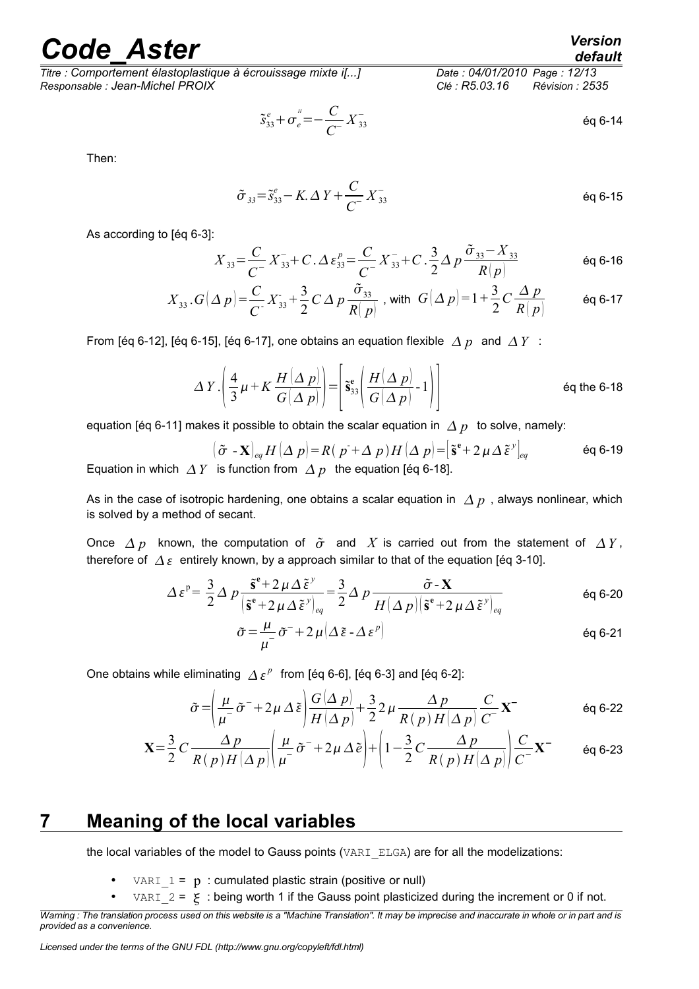*Titre : Comportement élastoplastique à écrouissage mixte i[...] Date : 04/01/2010 Page : 12/13 Responsable : Jean-Michel PROIX Clé : R5.03.16 Révision : 2535*

$$
\tilde{S}_{33}^e + \sigma_e^{\prime\prime} = -\frac{C}{C} X_{33}^-
$$

Then:

$$
\tilde{\sigma}_{33} = \tilde{s}_{33}^e - K \cdot \Delta Y + \frac{C}{C} X_{33}^-
$$

As according to [éq 6-3]:

$$
X_{33} = \frac{C}{C} X_{33}^{-} + C \cdot \Delta \epsilon_{33}^{p} = \frac{C}{C} X_{33}^{-} + C \cdot \frac{3}{2} \Delta p \frac{\tilde{\sigma}_{33} - X_{33}}{R|p|}
$$
 6q 6-16

$$
X_{33}.G(\Delta p) = \frac{C}{C} X_{33} + \frac{3}{2} C \Delta p \frac{\tilde{\sigma}_{33}}{R|p|}, \text{ with } G(\Delta p) = 1 + \frac{3}{2} C \frac{\Delta p}{R|p|} \qquad \text{Eq 6-17}
$$

From [éq 6-12], [éq 6-15], [éq 6-17], one obtains an equation flexible  $\Delta p$  and  $\Delta Y$  :

$$
\Delta Y \cdot \left( \frac{4}{3} \mu + K \frac{H(\Delta p)}{G(\Delta p)} \right) = \left[ \tilde{\mathbf{s}}_{33}^{\text{e}} \left( \frac{H(\Delta p)}{G(\Delta p)} - 1 \right) \right]
$$
éq the 6-18

equation [éq 6-11] makes it possible to obtain the scalar equation in  $\Delta p$  to solve, namely:

$$
(\tilde{\sigma} - \mathbf{X})_{eq} H(\Delta p) = R(p + \Delta p) H(\Delta p) = [\tilde{\mathbf{s}}^e + 2 \mu \Delta \tilde{\mathbf{\epsilon}}^y]_{eq}
$$
 eq 6-19  
Equation in which  $\Delta Y$  is function from  $\Delta p$  the equation [eq 6-18].

As in the case of isotropic hardening, one obtains a scalar equation in  $\Delta p$ , always nonlinear, which is solved by a method of secant.

Once  $\Delta p$  known, the computation of  $\tilde{\sigma}$  and X is carried out from the statement of  $\Delta Y$ , therefore of  $\Delta \varepsilon$  entirely known, by a approach similar to that of the equation [éq 3-10].

$$
\Delta \varepsilon^{p} = \frac{3}{2} \Delta p \frac{\tilde{s}^{e} + 2 \mu \Delta \tilde{\varepsilon}^{y}}{\left|\tilde{s}^{e} + 2 \mu \Delta \tilde{\varepsilon}^{y}\right|_{eq}} = \frac{3}{2} \Delta p \frac{\tilde{\sigma} - X}{H(\Delta p) \left|\tilde{s}^{e} + 2 \mu \Delta \tilde{\varepsilon}^{y}\right|_{eq}} \qquad \text{eq 6-20}
$$

$$
\tilde{\sigma} = \frac{\mu}{\mu^{-}} \tilde{\sigma}^{-} + 2 \mu \left( \Delta \tilde{\epsilon} - \Delta \epsilon^{p} \right)
$$

One obtains while eliminating  $\Delta \varepsilon^p$  from [éq 6-6], [éq 6-3] and [éq 6-2]:

$$
\tilde{\sigma} = \left(\frac{\mu}{\mu^{-}}\tilde{\sigma}^{-} + 2\mu \Delta \tilde{\epsilon}\right) \frac{G(\Delta p)}{H(\Delta p)} + \frac{3}{2} 2\mu \frac{\Delta p}{R(p)H(\Delta p)} \frac{C}{C} \mathbf{X}^{-}
$$
 eq 6-22

$$
\mathbf{X} = \frac{3}{2} C \frac{\Delta p}{R(p) H(\Delta p)} \left( \frac{\mu}{\mu^{-}} \tilde{\sigma}^{-} + 2\mu \Delta \tilde{e} \right) + \left( 1 - \frac{3}{2} C \frac{\Delta p}{R(p) H(\Delta p)} \right) \frac{C}{C^{-}} \mathbf{X}^{-} \qquad \text{Eq 6-23}
$$

### **7 Meaning of the local variables**

<span id="page-11-0"></span>the local variables of the model to Gauss points (VARI ELGA) are for all the modelizations:

- VARI  $1 = p$ : cumulated plastic strain (positive or null)
- VARI  $2 = \mathcal{F}$ : being worth 1 if the Gauss point plasticized during the increment or 0 if not.

*default*

*Warning : The translation process used on this website is a "Machine Translation". It may be imprecise and inaccurate in whole or in part and is provided as a convenience.*